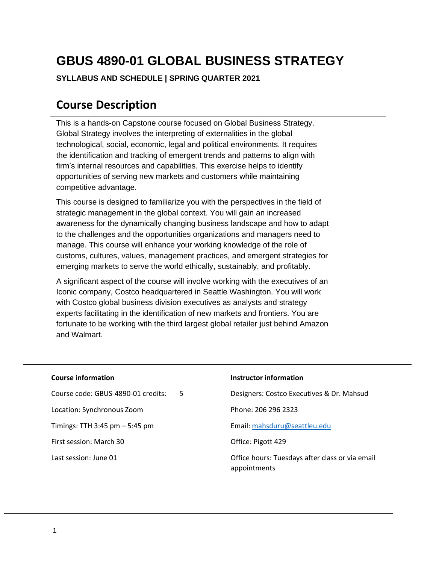# **GBUS 4890-01 GLOBAL BUSINESS STRATEGY**

#### **SYLLABUS AND SCHEDULE | SPRING QUARTER 2021**

### **Course Description**

This is a hands-on Capstone course focused on Global Business Strategy. Global Strategy involves the interpreting of externalities in the global technological, social, economic, legal and political environments. It requires the identification and tracking of emergent trends and patterns to align with firm's internal resources and capabilities. This exercise helps to identify opportunities of serving new markets and customers while maintaining competitive advantage.

This course is designed to familiarize you with the perspectives in the field of strategic management in the global context. You will gain an increased awareness for the dynamically changing business landscape and how to adapt to the challenges and the opportunities organizations and managers need to manage. This course will enhance your working knowledge of the role of customs, cultures, values, management practices, and emergent strategies for emerging markets to serve the world ethically, sustainably, and profitably.

A significant aspect of the course will involve working with the executives of an Iconic company, Costco headquartered in Seattle Washington. You will work with Costco global business division executives as analysts and strategy experts facilitating in the identification of new markets and frontiers. You are fortunate to be working with the third largest global retailer just behind Amazon and Walmart.

| <b>Course information</b>                | Instructor information                                          |
|------------------------------------------|-----------------------------------------------------------------|
| Course code: GBUS-4890-01 credits:<br>.5 | Designers: Costco Executives & Dr. Mahsud                       |
| Location: Synchronous Zoom               | Phone: 206 296 2323                                             |
| Timings: TTH 3:45 pm $-$ 5:45 pm         | Email: mahsduru@seattleu.edu                                    |
| First session: March 30                  | Office: Pigott 429                                              |
| Last session: June 01                    | Office hours: Tuesdays after class or via email<br>appointments |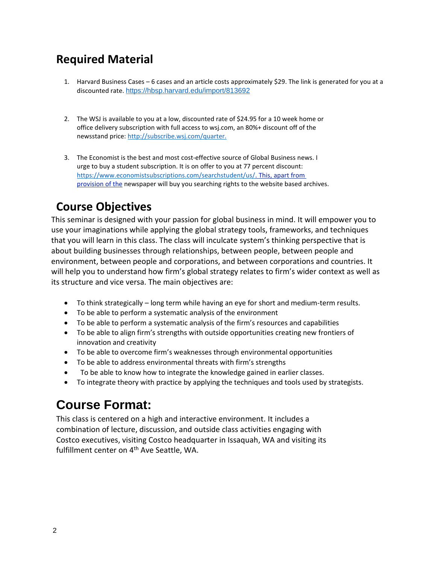## **Required Material**

- 1. Harvard Business Cases 6 cases and an article costs approximately \$29. The link is generated for you at a discounted rate. <https://hbsp.harvard.edu/import/813692>
- 2. The WSJ is available to you at a low, discounted rate of \$24.95 for a 10 week home or office delivery subscription with full access to wsj.com, an 80%+ discount off of the newsstand price:<http://subscribe.wsj.com/quarter.>
- 3. The Economist is the best and most cost-effective source of Global Business news. I urge to buy a student subscription. It is on offer to you at 77 percent discount: [https://www.economistsubscriptions.com/searchstudent/us/.](https://www.economistsubscriptions.com/searchstudent/us/) This[, apart from](http://www.economistsubscriptions.com/searchstudent/us/.This%2Capartfromprovisionofthe) [provision of the](http://www.economistsubscriptions.com/searchstudent/us/.This%2Capartfromprovisionofthe) newspaper will buy you searching rights to the website based archives.

## **Course Objectives**

This seminar is designed with your passion for global business in mind. It will empower you to use your imaginations while applying the global strategy tools, frameworks, and techniques that you will learn in this class. The class will inculcate system's thinking perspective that is about building businesses through relationships, between people, between people and environment, between people and corporations, and between corporations and countries. It will help you to understand how firm's global strategy relates to firm's wider context as well as its structure and vice versa. The main objectives are:

- To think strategically long term while having an eye for short and medium-term results.
- To be able to perform a systematic analysis of the environment
- To be able to perform a systematic analysis of the firm's resources and capabilities
- To be able to align firm's strengths with outside opportunities creating new frontiers of innovation and creativity
- To be able to overcome firm's weaknesses through environmental opportunities
- To be able to address environmental threats with firm's strengths
- To be able to know how to integrate the knowledge gained in earlier classes.
- To integrate theory with practice by applying the techniques and tools used by strategists.

## **Course Format:**

This class is centered on a high and interactive environment. It includes a combination of lecture, discussion, and outside class activities engaging with Costco executives, visiting Costco headquarter in Issaquah, WA and visiting its fulfillment center on 4<sup>th</sup> Ave Seattle, WA.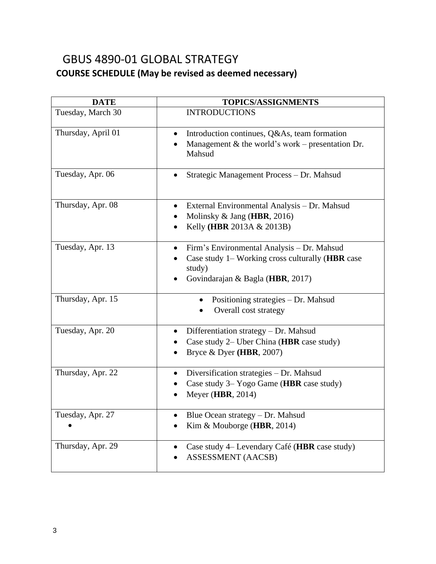### GBUS 4890-01 GLOBAL STRATEGY **COURSE SCHEDULE (May be revised as deemed necessary)**

| <b>DATE</b>        | <b>TOPICS/ASSIGNMENTS</b>                                                                                                                                              |
|--------------------|------------------------------------------------------------------------------------------------------------------------------------------------------------------------|
| Tuesday, March 30  | <b>INTRODUCTIONS</b>                                                                                                                                                   |
| Thursday, April 01 | Introduction continues, Q&As, team formation<br>$\bullet$<br>Management $\&$ the world's work – presentation Dr.<br>Mahsud                                             |
| Tuesday, Apr. 06   | Strategic Management Process - Dr. Mahsud                                                                                                                              |
| Thursday, Apr. 08  | External Environmental Analysis - Dr. Mahsud<br>$\bullet$<br>Molinsky $&$ Jang (HBR, 2016)<br>Kelly (HBR 2013A & 2013B)<br>$\bullet$                                   |
| Tuesday, Apr. 13   | Firm's Environmental Analysis - Dr. Mahsud<br>$\bullet$<br>Case study 1- Working cross culturally (HBR case<br>study)<br>Govindarajan & Bagla (HBR, 2017)<br>$\bullet$ |
| Thursday, Apr. 15  | Positioning strategies - Dr. Mahsud<br>Overall cost strategy                                                                                                           |
| Tuesday, Apr. 20   | Differentiation strategy - Dr. Mahsud<br>Case study 2– Uber China (HBR case study)<br>Bryce & Dyer (HBR, 2007)                                                         |
| Thursday, Apr. 22  | Diversification strategies - Dr. Mahsud<br>Case study 3– Yogo Game (HBR case study)<br>Meyer (HBR, 2014)<br>$\bullet$                                                  |
| Tuesday, Apr. 27   | Blue Ocean strategy $-Dr.$ Mahsud<br>Kim & Mouborge (HBR, 2014)                                                                                                        |
| Thursday, Apr. 29  | Case study 4– Levendary Café (HBR case study)<br><b>ASSESSMENT (AACSB)</b>                                                                                             |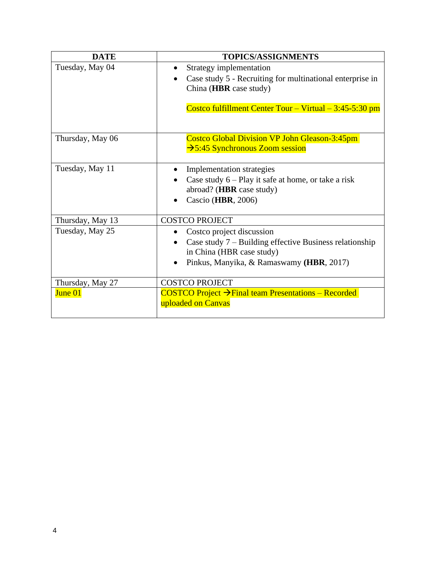| <b>DATE</b>      | <b>TOPICS/ASSIGNMENTS</b>                                                                                                                                       |
|------------------|-----------------------------------------------------------------------------------------------------------------------------------------------------------------|
| Tuesday, May 04  | Strategy implementation<br>Case study 5 - Recruiting for multinational enterprise in<br>China (HBR case study)                                                  |
|                  | Costco fulfillment Center Tour - Virtual $-3:45-5:30$ pm                                                                                                        |
| Thursday, May 06 | <b>Costco Global Division VP John Gleason-3:45pm</b><br>$\rightarrow$ 5:45 Synchronous Zoom session                                                             |
| Tuesday, May 11  | <b>Implementation</b> strategies<br>Case study $6 -$ Play it safe at home, or take a risk<br>abroad? (HBR case study)<br>Cascio (HBR, 2006)                     |
| Thursday, May 13 | <b>COSTCO PROJECT</b>                                                                                                                                           |
| Tuesday, May 25  | Costco project discussion<br>Case study $7$ – Building effective Business relationship<br>in China (HBR case study)<br>Pinkus, Manyika, & Ramaswamy (HBR, 2017) |
| Thursday, May 27 | <b>COSTCO PROJECT</b>                                                                                                                                           |
| June 01          | COSTCO Project → Final team Presentations – Recorded<br>uploaded on Canvas                                                                                      |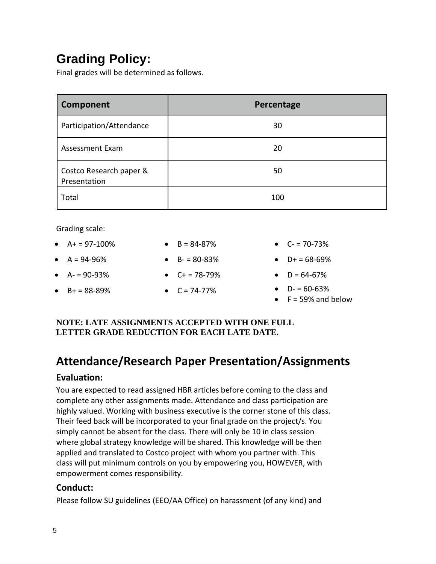# **Grading Policy:**

Final grades will be determined as follows.

| Component                               | Percentage |
|-----------------------------------------|------------|
| Participation/Attendance                | 30         |
| Assessment Exam                         | 20         |
| Costco Research paper &<br>Presentation | 50         |
| Total                                   | 100        |

Grading scale:

•  $A+ = 97-100\%$ •  $A = 94-96%$ •  $A - 90 - 93%$  $-B+ = 88-89%$ •  $B = 84 - 87%$ •  $B - 80 - 83%$ •  $C+ = 78-79%$ •  $C = 74 - 77\%$ •  $C = 70 - 73%$ •  $D+ = 68-69%$ •  $D = 64-67%$ •  $D = 60-63%$  $\bullet$  F = 59% and below

### **NOTE: LATE ASSIGNMENTS ACCEPTED WITH ONE FULL LETTER GRADE REDUCTION FOR EACH LATE DATE.**

## **Attendance/Research Paper Presentation/Assignments**

### **Evaluation:**

You are expected to read assigned HBR articles before coming to the class and complete any other assignments made. Attendance and class participation are highly valued. Working with business executive is the corner stone of this class. Their feed back will be incorporated to your final grade on the project/s. You simply cannot be absent for the class. There will only be 10 in class session where global strategy knowledge will be shared. This knowledge will be then applied and translated to Costco project with whom you partner with. This class will put minimum controls on you by empowering you, HOWEVER, with empowerment comes responsibility.

### **Conduct:**

Please follow SU guidelines (EEO/AA Office) on harassment (of any kind) and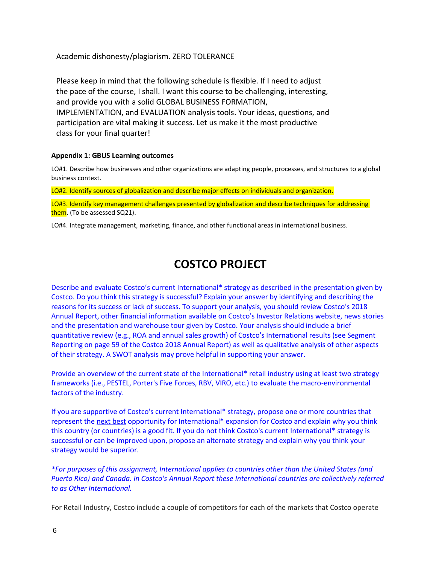Academic dishonesty/plagiarism. ZERO TOLERANCE

Please keep in mind that the following schedule is flexible. If I need to adjust the pace of the course, I shall. I want this course to be challenging, interesting, and provide you with a solid GLOBAL BUSINESS FORMATION, IMPLEMENTATION, and EVALUATION analysis tools. Your ideas, questions, and participation are vital making it success. Let us make it the most productive class for your final quarter!

#### **Appendix 1: GBUS Learning outcomes**

LO#1. Describe how businesses and other organizations are adapting people, processes, and structures to a global business context.

LO#2. Identify sources of globalization and describe major effects on individuals and organization.

LO#3. Identify key management challenges presented by globalization and describe techniques for addressing them. (To be assessed SQ21).

LO#4. Integrate management, marketing, finance, and other functional areas in international business.

## **COSTCO PROJECT**

Describe and evaluate Costco's current International\* strategy as described in the presentation given by Costco. Do you think this strategy is successful? Explain your answer by identifying and describing the reasons for its success or lack of success. To support your analysis, you should review Costco's 2018 Annual Report, other financial information available on Costco's Investor Relations website, news stories and the presentation and warehouse tour given by Costco. Your analysis should include a brief quantitative review (e.g., ROA and annual sales growth) of Costco's International results (see Segment Reporting on page 59 of the Costco 2018 Annual Report) as well as qualitative analysis of other aspects of their strategy. A SWOT analysis may prove helpful in supporting your answer.

Provide an overview of the current state of the International\* retail industry using at least two strategy frameworks (i.e., PESTEL, Porter's Five Forces, RBV, VIRO, etc.) to evaluate the macro-environmental factors of the industry.

If you are supportive of Costco's current International\* strategy, propose one or more countries that represent the next best opportunity for International\* expansion for Costco and explain why you think this country (or countries) is a good fit. If you do not think Costco's current International\* strategy is successful or can be improved upon, propose an alternate strategy and explain why you think your strategy would be superior.

*\*For purposes of this assignment, International applies to countries other than the United States (and Puerto Rico) and Canada. In Costco's Annual Report these International countries are collectively referred to as Other International.*

For Retail Industry, Costco include a couple of competitors for each of the markets that Costco operate